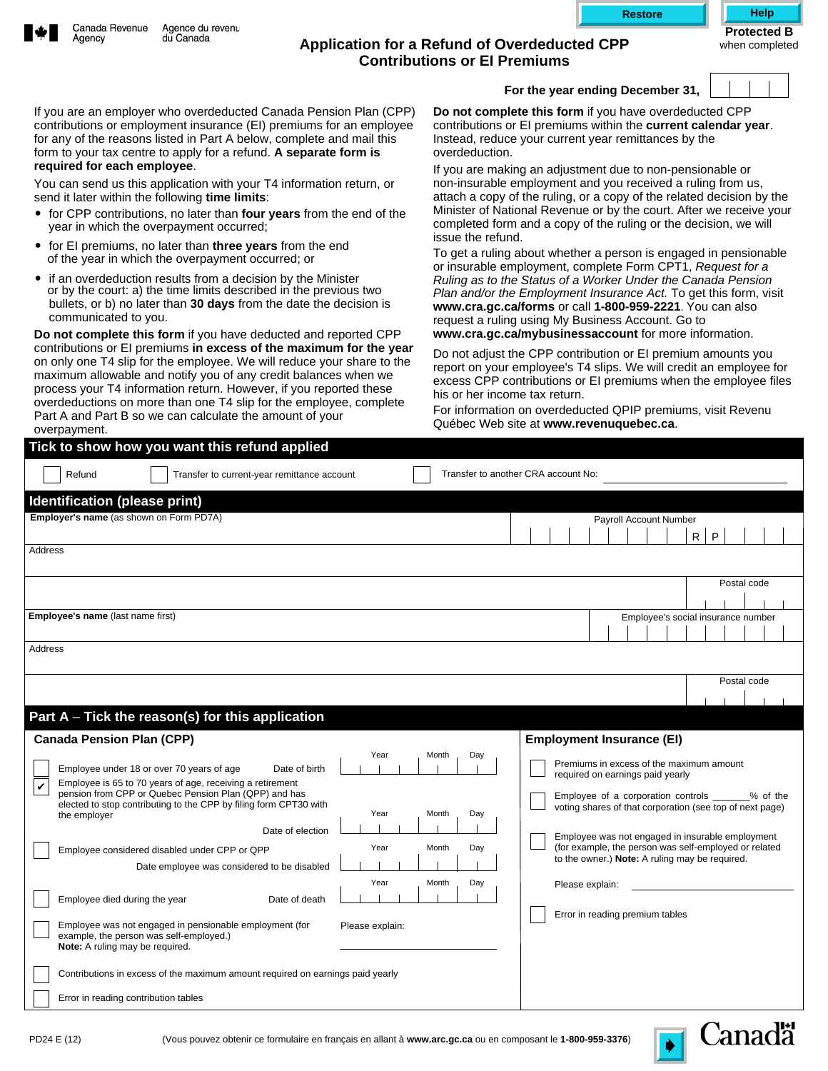

## Agency

## **Application for a Refund of Overdeducted CPP Contributions or EI Premiums**

when completed

If you are an employer who overdeducted Canada Pension Plan (CPP) contributions or employment insurance (EI) premiums for an employee for any of the reasons listed in Part A below, complete and mail this form to your tax centre to apply for a refund. **A separate form is required for each employee**.

You can send us this application with your T4 information return, or send it later within the following **time limits**:

- for CPP contributions, no later than **four years** from the end of the year in which the overpayment occurred;
- for EI premiums, no later than **three years** from the end of the year in which the overpayment occurred; or
- if an overdeduction results from a decision by the Minister or by the court: a) the time limits described in the previous two bullets, or b) no later than **30 days** from the date the decision is communicated to you.

**Do not complete this form** if you have deducted and reported CPP contributions or EI premiums **in excess of the maximum for the year**  on only one T4 slip for the employee. We will reduce your share to the maximum allowable and notify you of any credit balances when we process your T4 information return. However, if you reported these overdeductions on more than one T4 slip for the employee, complete Part A and Part B so we can calculate the amount of your overpayment.

|  | For the year ending December 31, |  |
|--|----------------------------------|--|

**Canadä** 

**Do not complete this form** if you have overdeducted CPP contributions or EI premiums within the **current calendar year**. Instead, reduce your current year remittances by the overdeduction.

If you are making an adjustment due to non-pensionable or non-insurable employment and you received a ruling from us, attach a copy of the ruling, or a copy of the related decision by the Minister of National Revenue or by the court. After we receive your completed form and a copy of the ruling or the decision, we will issue the refund.

To get a ruling about whether a person is engaged in pensionable or insurable employment, complete Form CPT1, *Request for a Ruling as to the Status of a Worker Under the Canada Pension Plan and/or the Employment Insurance Act.* To get this form, visit **www.cra.gc.ca/forms** or call **1-800-959-2221**. You can also request a ruling using My Business Account. Go to **www.cra.gc.ca/mybusinessaccount** for more information.

Do not adjust the CPP contribution or EI premium amounts you report on your employee's T4 slips. We will credit an employee for excess CPP contributions or EI premiums when the employee files his or her income tax return.

For information on overdeducted QPIP premiums, visit Revenu Québec Web site at **www.revenuquebec.ca**.

| Tick to show how you want this refund applied                                                                                                                                                                                                                                                                                                                                                                                                                                                                                                                                                                                                                                                                                                                                                             |                                                                                                                                                                                                                                                                                                                                                                                                                     |
|-----------------------------------------------------------------------------------------------------------------------------------------------------------------------------------------------------------------------------------------------------------------------------------------------------------------------------------------------------------------------------------------------------------------------------------------------------------------------------------------------------------------------------------------------------------------------------------------------------------------------------------------------------------------------------------------------------------------------------------------------------------------------------------------------------------|---------------------------------------------------------------------------------------------------------------------------------------------------------------------------------------------------------------------------------------------------------------------------------------------------------------------------------------------------------------------------------------------------------------------|
| Refund<br>Transfer to current-year remittance account                                                                                                                                                                                                                                                                                                                                                                                                                                                                                                                                                                                                                                                                                                                                                     | Transfer to another CRA account No:                                                                                                                                                                                                                                                                                                                                                                                 |
| Identification (please print)                                                                                                                                                                                                                                                                                                                                                                                                                                                                                                                                                                                                                                                                                                                                                                             |                                                                                                                                                                                                                                                                                                                                                                                                                     |
| Employer's name (as shown on Form PD7A)                                                                                                                                                                                                                                                                                                                                                                                                                                                                                                                                                                                                                                                                                                                                                                   | Payroll Account Number                                                                                                                                                                                                                                                                                                                                                                                              |
|                                                                                                                                                                                                                                                                                                                                                                                                                                                                                                                                                                                                                                                                                                                                                                                                           | $\mathsf{R}$<br>P                                                                                                                                                                                                                                                                                                                                                                                                   |
| Address                                                                                                                                                                                                                                                                                                                                                                                                                                                                                                                                                                                                                                                                                                                                                                                                   |                                                                                                                                                                                                                                                                                                                                                                                                                     |
|                                                                                                                                                                                                                                                                                                                                                                                                                                                                                                                                                                                                                                                                                                                                                                                                           | Postal code                                                                                                                                                                                                                                                                                                                                                                                                         |
|                                                                                                                                                                                                                                                                                                                                                                                                                                                                                                                                                                                                                                                                                                                                                                                                           |                                                                                                                                                                                                                                                                                                                                                                                                                     |
| Employee's name (last name first)                                                                                                                                                                                                                                                                                                                                                                                                                                                                                                                                                                                                                                                                                                                                                                         | Employee's social insurance number                                                                                                                                                                                                                                                                                                                                                                                  |
| Address                                                                                                                                                                                                                                                                                                                                                                                                                                                                                                                                                                                                                                                                                                                                                                                                   |                                                                                                                                                                                                                                                                                                                                                                                                                     |
|                                                                                                                                                                                                                                                                                                                                                                                                                                                                                                                                                                                                                                                                                                                                                                                                           | Postal code                                                                                                                                                                                                                                                                                                                                                                                                         |
|                                                                                                                                                                                                                                                                                                                                                                                                                                                                                                                                                                                                                                                                                                                                                                                                           |                                                                                                                                                                                                                                                                                                                                                                                                                     |
| Part $A$ – Tick the reason(s) for this application                                                                                                                                                                                                                                                                                                                                                                                                                                                                                                                                                                                                                                                                                                                                                        |                                                                                                                                                                                                                                                                                                                                                                                                                     |
| <b>Canada Pension Plan (CPP)</b>                                                                                                                                                                                                                                                                                                                                                                                                                                                                                                                                                                                                                                                                                                                                                                          | <b>Employment Insurance (EI)</b>                                                                                                                                                                                                                                                                                                                                                                                    |
| Year<br>Month<br>Day<br>Employee under 18 or over 70 years of age<br>Date of birth<br>Employee is 65 to 70 years of age, receiving a retirement<br>$\checkmark$<br>pension from CPP or Quebec Pension Plan (QPP) and has<br>elected to stop contributing to the CPP by filing form CPT30 with<br>Year<br>Month<br>Day<br>the employer<br>Date of election<br>Year<br>Month<br>Day<br>Employee considered disabled under CPP or QPP<br>Date employee was considered to be disabled<br>Year<br>Month<br>Day<br>Employee died during the year<br>Date of death<br>Employee was not engaged in pensionable employment (for<br>Please explain:<br>example, the person was self-employed.)<br>Note: A ruling may be required.<br>Contributions in excess of the maximum amount required on earnings paid yearly | Premiums in excess of the maximum amount<br>required on earnings paid yearly<br>Employee of a corporation controls _______% of the<br>voting shares of that corporation (see top of next page)<br>Employee was not engaged in insurable employment<br>(for example, the person was self-employed or related<br>to the owner.) Note: A ruling may be required.<br>Please explain:<br>Error in reading premium tables |
| Error in reading contribution tables                                                                                                                                                                                                                                                                                                                                                                                                                                                                                                                                                                                                                                                                                                                                                                      |                                                                                                                                                                                                                                                                                                                                                                                                                     |
|                                                                                                                                                                                                                                                                                                                                                                                                                                                                                                                                                                                                                                                                                                                                                                                                           |                                                                                                                                                                                                                                                                                                                                                                                                                     |